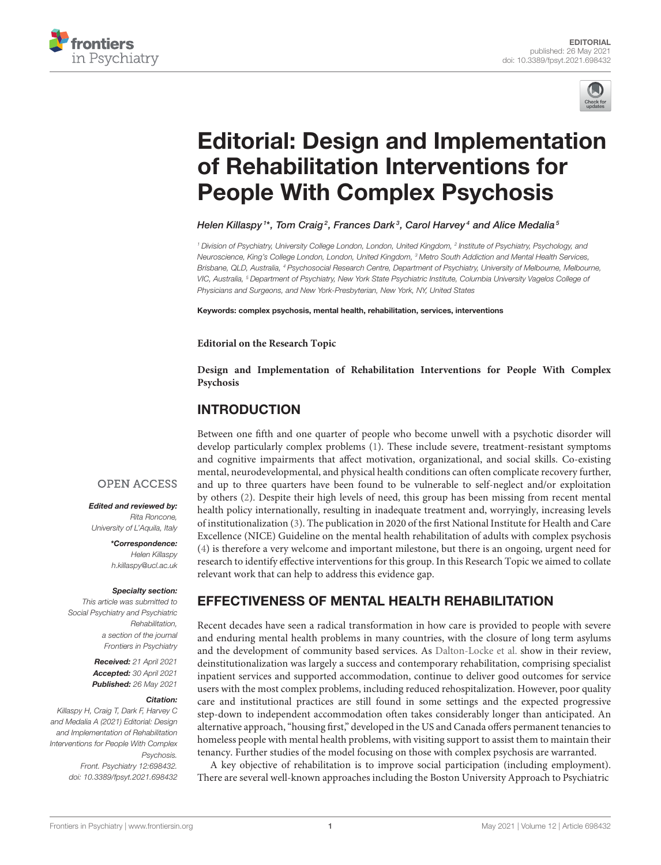



# [Editorial: Design and Implementation](https://www.frontiersin.org/articles/10.3389/fpsyt.2021.698432/full) of Rehabilitation Interventions for People With Complex Psychosis

Helen Killaspy  $^{\text{\tiny{1}*}}$ , Tom Craig $^{\text{\tiny{2}}}$ , Frances Dark $^{\text{\tiny{3}}}$ , Carol Harvey $^{\text{\tiny{4}}}$  and Alice Medalia $^{\text{\tiny{5}}}$ 

*<sup>1</sup> Division of Psychiatry, University College London, London, United Kingdom, <sup>2</sup> Institute of Psychiatry, Psychology, and Neuroscience, King's College London, London, United Kingdom, <sup>3</sup> Metro South Addiction and Mental Health Services, Brisbane, QLD, Australia, <sup>4</sup> Psychosocial Research Centre, Department of Psychiatry, University of Melbourne, Melbourne, VIC, Australia, <sup>5</sup> Department of Psychiatry, New York State Psychiatric Institute, Columbia University Vagelos College of Physicians and Surgeons, and New York-Presbyterian, New York, NY, United States*

Keywords: complex psychosis, mental health, rehabilitation, services, interventions

#### **Editorial on the Research Topic**

**[Design and Implementation of Rehabilitation Interventions for People With Complex](https://www.frontiersin.org/research-topics/13577/design-and-implementation-of-rehabilitation-interventions-for-people-with-complex-psychosis) Psychosis**

### INTRODUCTION

Between one fifth and one quarter of people who become unwell with a psychotic disorder will develop particularly complex problems [\(1\)](#page-2-0). These include severe, treatment-resistant symptoms and cognitive impairments that affect motivation, organizational, and social skills. Co-existing mental, neurodevelopmental, and physical health conditions can often complicate recovery further, and up to three quarters have been found to be vulnerable to self-neglect and/or exploitation by others [\(2\)](#page-2-1). Despite their high levels of need, this group has been missing from recent mental health policy internationally, resulting in inadequate treatment and, worryingly, increasing levels of institutionalization [\(3\)](#page-2-2). The publication in 2020 of the first National Institute for Health and Care Excellence (NICE) Guideline on the mental health rehabilitation of adults with complex psychosis [\(4\)](#page-2-3) is therefore a very welcome and important milestone, but there is an ongoing, urgent need for research to identify effective interventions for this group. In this Research Topic we aimed to collate relevant work that can help to address this evidence gap.

#### **OPEN ACCESS**

Edited and reviewed by: *Rita Roncone, University of L'Aquila, Italy*

> \*Correspondence: *Helen Killaspy [h.killaspy@ucl.ac.uk](mailto:h.killaspy@ucl.ac.uk)*

#### Specialty section:

*This article was submitted to Social Psychiatry and Psychiatric Rehabilitation, a section of the journal Frontiers in Psychiatry*

> Received: *21 April 2021* Accepted: *30 April 2021* Published: *26 May 2021*

#### Citation:

*Killaspy H, Craig T, Dark F, Harvey C and Medalia A (2021) Editorial: Design and Implementation of Rehabilitation Interventions for People With Complex Psychosis. Front. Psychiatry 12:698432. doi: [10.3389/fpsyt.2021.698432](https://doi.org/10.3389/fpsyt.2021.698432)* EFFECTIVENESS OF MENTAL HEALTH REHABILITATION

Recent decades have seen a radical transformation in how care is provided to people with severe and enduring mental health problems in many countries, with the closure of long term asylums and the development of community based services. As [Dalton-Locke et al.](https://doi.org/10.3389/fpsyt.2020.607933) show in their review, deinstitutionalization was largely a success and contemporary rehabilitation, comprising specialist inpatient services and supported accommodation, continue to deliver good outcomes for service users with the most complex problems, including reduced rehospitalization. However, poor quality care and institutional practices are still found in some settings and the expected progressive step-down to independent accommodation often takes considerably longer than anticipated. An alternative approach, "housing first," developed in the US and Canada offers permanent tenancies to homeless people with mental health problems, with visiting support to assist them to maintain their tenancy. Further studies of the model focusing on those with complex psychosis are warranted.

A key objective of rehabilitation is to improve social participation (including employment). There are several well-known approaches including the Boston University Approach to Psychiatric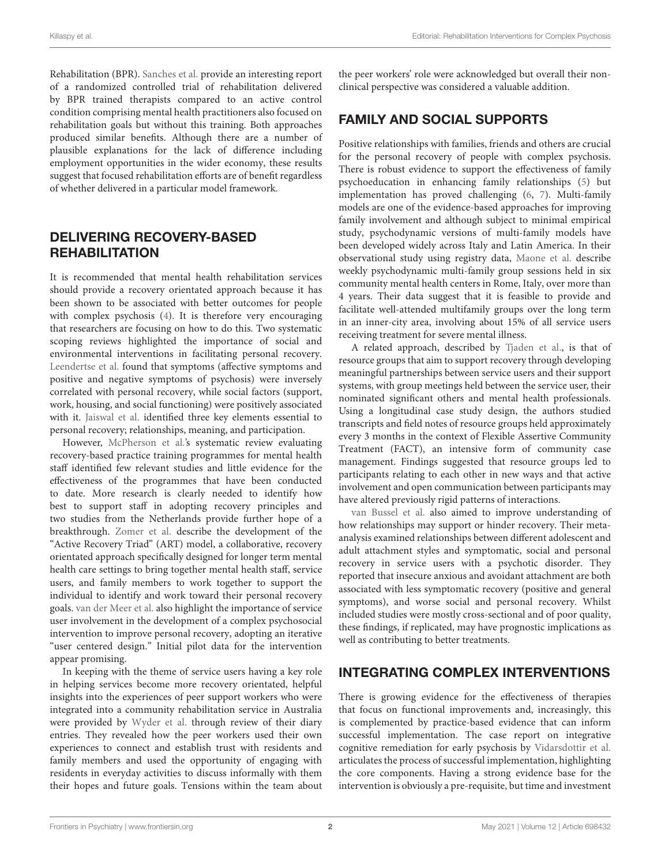Rehabilitation (BPR). [Sanches et al.](https://doi.org/10.3389/fpsyt.2020.571640) provide an interesting report of a randomized controlled trial of rehabilitation delivered by BPR trained therapists compared to an active control condition comprising mental health practitioners also focused on rehabilitation goals but without this training. Both approaches produced similar benefits. Although there are a number of plausible explanations for the lack of difference including employment opportunities in the wider economy, these results suggest that focused rehabilitation efforts are of benefit regardless of whether delivered in a particular model framework.

# DELIVERING RECOVERY-BASED **REHABILITATION**

It is recommended that mental health rehabilitation services should provide a recovery orientated approach because it has been shown to be associated with better outcomes for people with complex psychosis [\(4\)](#page-2-3). It is therefore very encouraging that researchers are focusing on how to do this. Two systematic scoping reviews highlighted the importance of social and environmental interventions in facilitating personal recovery. [Leendertse et al.](https://doi.org/10.3389/fpsyt.2021.622628) found that symptoms (affective symptoms and positive and negative symptoms of psychosis) were inversely correlated with personal recovery, while social factors (support, work, housing, and social functioning) were positively associated with it. [Jaiswal et al.](https://doi.org/10.3389/fpsyt.2020.586230) identified three key elements essential to personal recovery; relationships, meaning, and participation.

However, [McPherson et al.'s](https://doi.org/10.3389/fpsyt.2021.624081) systematic review evaluating recovery-based practice training programmes for mental health staff identified few relevant studies and little evidence for the effectiveness of the programmes that have been conducted to date. More research is clearly needed to identify how best to support staff in adopting recovery principles and two studies from the Netherlands provide further hope of a breakthrough. [Zomer et al.](https://doi.org/10.3389/fpsyt.2020.592228) describe the development of the "Active Recovery Triad" (ART) model, a collaborative, recovery orientated approach specifically designed for longer term mental health care settings to bring together mental health staff, service users, and family members to work together to support the individual to identify and work toward their personal recovery goals. [van der Meer et al.](https://doi.org/10.3389/fpsyt.2021.635514) also highlight the importance of service user involvement in the development of a complex psychosocial intervention to improve personal recovery, adopting an iterative "user centered design." Initial pilot data for the intervention appear promising.

In keeping with the theme of service users having a key role in helping services become more recovery orientated, helpful insights into the experiences of peer support workers who were integrated into a community rehabilitation service in Australia were provided by [Wyder et al.](https://doi.org/10.3389/fpsyt.2020.587656) through review of their diary entries. They revealed how the peer workers used their own experiences to connect and establish trust with residents and family members and used the opportunity of engaging with residents in everyday activities to discuss informally with them their hopes and future goals. Tensions within the team about the peer workers' role were acknowledged but overall their nonclinical perspective was considered a valuable addition.

# FAMILY AND SOCIAL SUPPORTS

Positive relationships with families, friends and others are crucial for the personal recovery of people with complex psychosis. There is robust evidence to support the effectiveness of family psychoeducation in enhancing family relationships [\(5\)](#page-2-4) but implementation has proved challenging [\(6,](#page-2-5) [7\)](#page-3-0). Multi-family models are one of the evidence-based approaches for improving family involvement and although subject to minimal empirical study, psychodynamic versions of multi-family models have been developed widely across Italy and Latin America. In their observational study using registry data, [Maone et al.](https://doi.org/10.3389/fpsyt.2021.646925) describe weekly psychodynamic multi-family group sessions held in six community mental health centers in Rome, Italy, over more than 4 years. Their data suggest that it is feasible to provide and facilitate well-attended multifamily groups over the long term in an inner-city area, involving about 15% of all service users receiving treatment for severe mental illness.

A related approach, described by [Tjaden et al.,](https://doi.org/10.3389/fpsyt.2021.632437) is that of resource groups that aim to support recovery through developing meaningful partnerships between service users and their support systems, with group meetings held between the service user, their nominated significant others and mental health professionals. Using a longitudinal case study design, the authors studied transcripts and field notes of resource groups held approximately every 3 months in the context of Flexible Assertive Community Treatment (FACT), an intensive form of community case management. Findings suggested that resource groups led to participants relating to each other in new ways and that active involvement and open communication between participants may have altered previously rigid patterns of interactions.

[van Bussel et al.](https://doi.org/10.3389/fpsyt.2021.641642) also aimed to improve understanding of how relationships may support or hinder recovery. Their metaanalysis examined relationships between different adolescent and adult attachment styles and symptomatic, social and personal recovery in service users with a psychotic disorder. They reported that insecure anxious and avoidant attachment are both associated with less symptomatic recovery (positive and general symptoms), and worse social and personal recovery. Whilst included studies were mostly cross-sectional and of poor quality, these findings, if replicated, may have prognostic implications as well as contributing to better treatments.

# INTEGRATING COMPLEX INTERVENTIONS

There is growing evidence for the effectiveness of therapies that focus on functional improvements and, increasingly, this is complemented by practice-based evidence that can inform successful implementation. The case report on integrative cognitive remediation for early psychosis by [Vidarsdottir et al.](https://doi.org/10.3389/fpsyt.2020.624091) articulates the process of successful implementation, highlighting the core components. Having a strong evidence base for the intervention is obviously a pre-requisite, but time and investment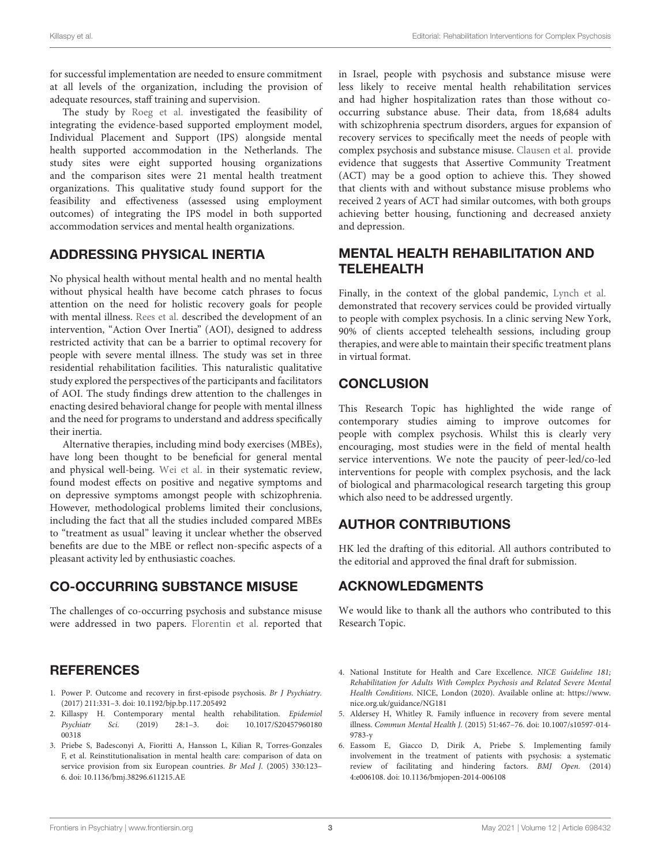for successful implementation are needed to ensure commitment at all levels of the organization, including the provision of adequate resources, staff training and supervision.

The study by [Roeg et al.](https://doi.org/10.3389/fpsyt.2020.622061) investigated the feasibility of integrating the evidence-based supported employment model, Individual Placement and Support (IPS) alongside mental health supported accommodation in the Netherlands. The study sites were eight supported housing organizations and the comparison sites were 21 mental health treatment organizations. This qualitative study found support for the feasibility and effectiveness (assessed using employment outcomes) of integrating the IPS model in both supported accommodation services and mental health organizations.

### ADDRESSING PHYSICAL INERTIA

No physical health without mental health and no mental health without physical health have become catch phrases to focus attention on the need for holistic recovery goals for people with mental illness. [Rees et al.](https://doi.org/10.3389/fpsyt.2021.624803) described the development of an intervention, "Action Over Inertia" (AOI), designed to address restricted activity that can be a barrier to optimal recovery for people with severe mental illness. The study was set in three residential rehabilitation facilities. This naturalistic qualitative study explored the perspectives of the participants and facilitators of AOI. The study findings drew attention to the challenges in enacting desired behavioral change for people with mental illness and the need for programs to understand and address specifically their inertia.

Alternative therapies, including mind body exercises (MBEs), have long been thought to be beneficial for general mental and physical well-being. [Wei et al.](https://doi.org/10.3389/fpsyt.2020.00819) in their systematic review, found modest effects on positive and negative symptoms and on depressive symptoms amongst people with schizophrenia. However, methodological problems limited their conclusions, including the fact that all the studies included compared MBEs to "treatment as usual" leaving it unclear whether the observed benefits are due to the MBE or reflect non-specific aspects of a pleasant activity led by enthusiastic coaches.

### CO-OCCURRING SUBSTANCE MISUSE

The challenges of co-occurring psychosis and substance misuse were addressed in two papers. [Florentin et al.](https://doi.org/10.3389/fpsyt.2021.621259) reported that

# **REFERENCES**

- <span id="page-2-0"></span>1. Power P. Outcome and recovery in first-episode psychosis. Br J Psychiatry. (2017) 211:331–3. doi: [10.1192/bjp.bp.117.205492](https://doi.org/10.1192/bjp.bp.117.205492)
- <span id="page-2-1"></span>2. Killaspy H. Contemporary mental health rehabilitation. *Epidemiol Psychiatr Sci.* (2019) 28:1-3. doi: 10.1017/S20457960180 Sci. (2019) 28:1-3. doi: 10.1017/S20457960180 00318
- <span id="page-2-2"></span>3. Priebe S, Badesconyi A, Fioritti A, Hansson L, Kilian R, Torres-Gonzales F, et al. Reinstitutionalisation in mental health care: comparison of data on service provision from six European countries. Br Med J. (2005) 330:123-6. doi: [10.1136/bmj.38296.611215.AE](https://doi.org/10.1136/bmj.38296.611215.AE)

in Israel, people with psychosis and substance misuse were less likely to receive mental health rehabilitation services and had higher hospitalization rates than those without cooccurring substance abuse. Their data, from 18,684 adults with schizophrenia spectrum disorders, argues for expansion of recovery services to specifically meet the needs of people with complex psychosis and substance misuse. [Clausen et al.](https://doi.org/10.3389/fpsyt.2020.607071) provide evidence that suggests that Assertive Community Treatment (ACT) may be a good option to achieve this. They showed that clients with and without substance misuse problems who received 2 years of ACT had similar outcomes, with both groups achieving better housing, functioning and decreased anxiety and depression.

#### MENTAL HEALTH REHABILITATION AND TELEHEALTH

Finally, in the context of the global pandemic, [Lynch et al.](https://doi.org/10.3389/fpsyt.2020.581149) demonstrated that recovery services could be provided virtually to people with complex psychosis. In a clinic serving New York, 90% of clients accepted telehealth sessions, including group therapies, and were able to maintain their specific treatment plans in virtual format.

# **CONCLUSION**

This Research Topic has highlighted the wide range of contemporary studies aiming to improve outcomes for people with complex psychosis. Whilst this is clearly very encouraging, most studies were in the field of mental health service interventions. We note the paucity of peer-led/co-led interventions for people with complex psychosis, and the lack of biological and pharmacological research targeting this group which also need to be addressed urgently.

# AUTHOR CONTRIBUTIONS

HK led the drafting of this editorial. All authors contributed to the editorial and approved the final draft for submission.

### ACKNOWLEDGMENTS

We would like to thank all the authors who contributed to this Research Topic.

- <span id="page-2-3"></span>4. National Institute for Health and Care Excellence. NICE Guideline 181; Rehabilitation for Adults With Complex Psychosis and Related Severe Mental Health Conditions. NICE, London (2020). Available online at: [https://www.](https://www.nice.org.uk/guidance/NG181) [nice.org.uk/guidance/NG181](https://www.nice.org.uk/guidance/NG181)
- <span id="page-2-4"></span>5. Aldersey H, Whitley R. Family influence in recovery from severe mental illness. Commun Mental Health J. [\(2015\) 51:467–76. doi: 10.1007/s10597-014-](https://doi.org/10.1007/s10597-014-9783-y) 9783-y
- <span id="page-2-5"></span>6. Eassom E, Giacco D, Dirik A, Priebe S. Implementing family involvement in the treatment of patients with psychosis: a systematic review of facilitating and hindering factors. BMJ Open. (2014) 4:e006108. doi: [10.1136/bmjopen-2014-006108](https://doi.org/10.1136/bmjopen-2014-006108)